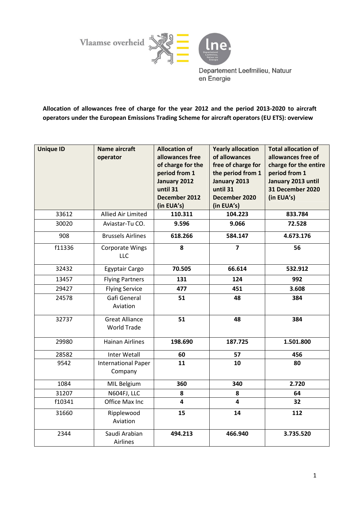Vlaamse overheid



Departement Leefmilieu, Natuur en Energie

Allocation of allowances free of charge for the year 2012 and the period 2013-2020 to aircraft operators under the European Emissions Trading Scheme for aircraft operators (EU ETS): overview

| <b>Unique ID</b> | <b>Name aircraft</b><br>operator            | <b>Allocation of</b><br>allowances free<br>of charge for the<br>period from 1<br>January 2012<br>until 31<br>December 2012<br>(in EUA's) | <b>Yearly allocation</b><br>of allowances<br>free of charge for<br>the period from 1<br>January 2013<br>until 31<br>December 2020<br>(in EUA's) | <b>Total allocation of</b><br>allowances free of<br>charge for the entire<br>period from 1<br>January 2013 until<br>31 December 2020<br>(in EUA's) |
|------------------|---------------------------------------------|------------------------------------------------------------------------------------------------------------------------------------------|-------------------------------------------------------------------------------------------------------------------------------------------------|----------------------------------------------------------------------------------------------------------------------------------------------------|
| 33612            | Allied Air Limited                          | 110.311                                                                                                                                  | 104.223                                                                                                                                         | 833.784                                                                                                                                            |
| 30020            | Aviastar-Tu CO.                             | 9.596                                                                                                                                    | 9.066                                                                                                                                           | 72.528                                                                                                                                             |
| 908              | <b>Brussels Airlines</b>                    | 618.266                                                                                                                                  | 584.147                                                                                                                                         | 4.673.176                                                                                                                                          |
| f11336           | <b>Corporate Wings</b><br><b>LLC</b>        | 8                                                                                                                                        | $\overline{7}$                                                                                                                                  | 56                                                                                                                                                 |
| 32432            | Egyptair Cargo                              | 70.505                                                                                                                                   | 66.614                                                                                                                                          | 532.912                                                                                                                                            |
| 13457            | <b>Flying Partners</b>                      | 131                                                                                                                                      | 124                                                                                                                                             | 992                                                                                                                                                |
| 29427            | <b>Flying Service</b>                       | 477                                                                                                                                      | 451                                                                                                                                             | 3.608                                                                                                                                              |
| 24578            | Gafi General<br>Aviation                    | 51                                                                                                                                       | 48                                                                                                                                              | 384                                                                                                                                                |
| 32737            | <b>Great Alliance</b><br><b>World Trade</b> | 51                                                                                                                                       | 48                                                                                                                                              | 384                                                                                                                                                |
| 29980            | <b>Hainan Airlines</b>                      | 198.690                                                                                                                                  | 187.725                                                                                                                                         | 1.501.800                                                                                                                                          |
| 28582            | <b>Inter Wetall</b>                         | 60                                                                                                                                       | 57                                                                                                                                              | 456                                                                                                                                                |
| 9542             | <b>International Paper</b><br>Company       | 11                                                                                                                                       | 10                                                                                                                                              | 80                                                                                                                                                 |
| 1084             | MIL Belgium                                 | 360                                                                                                                                      | 340                                                                                                                                             | 2.720                                                                                                                                              |
| 31207            | N604FJ, LLC                                 | 8                                                                                                                                        | 8                                                                                                                                               | 64                                                                                                                                                 |
| f10341           | Office Max Inc                              | 4                                                                                                                                        | $\overline{\mathbf{4}}$                                                                                                                         | 32                                                                                                                                                 |
| 31660            | Ripplewood<br>Aviation                      | 15                                                                                                                                       | 14                                                                                                                                              | 112                                                                                                                                                |
| 2344             | Saudi Arabian<br>Airlines                   | 494.213                                                                                                                                  | 466.940                                                                                                                                         | 3.735.520                                                                                                                                          |